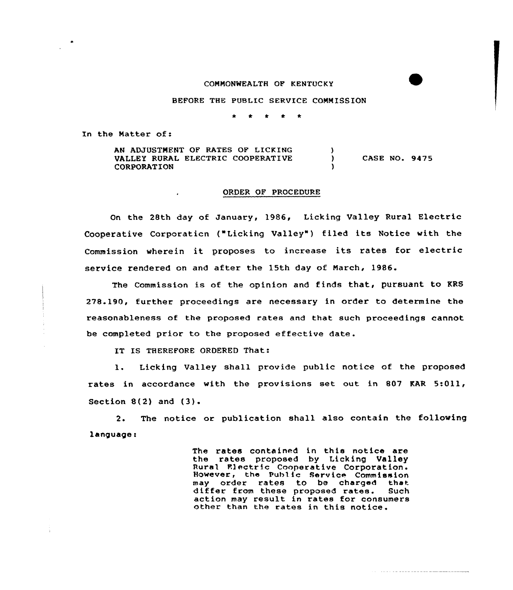#### COMMONWEALTH OF KENTUCKY

BEFORE THE PUBLIC SERVICE COMMISSION

In the Matter of:

AN ADJUSTMENT OF RATES OF LICKING ١. VALLEY RURAL ELECTRIC COOPERATIVE  $\lambda$ CASE NO. 9475 CORPORATION

### ORDER QF PROCEDURE

On the 28th day of January, 1986, Licking Valley Rural Electric Cooperative Corporaticn ("Licking Valley") filed its Notice with the Commission wherein it proposes to increase its rates for electric service rendered on and after the 15th day of March, 1986.

The Commission is of the opinion and finds that, pursuant to KRS 278.190, further proceedings are necessary in order to determine the reasonableness of the proposed rates and that such proceedings cannot be completed prior to the proposed effective date.

IT IS THEREFORE ORDERED That:

1. Licking Valley shall provide public notice of the proposed rates in accordance with the provisions set out in 807 KAR 5:011, Section  $8(2)$  and  $(3)$ .

2. The notice or publication shall also contain the following language:

> The rates contained in this notice are the rates proposed by Licking Valley Rural Flectric Cooperative Corporation. However, the Public Service Commission may order rates to be charged that<br>differ from these proposed rates. Such action may result in rates for consumers<br>other than the rates in this notice.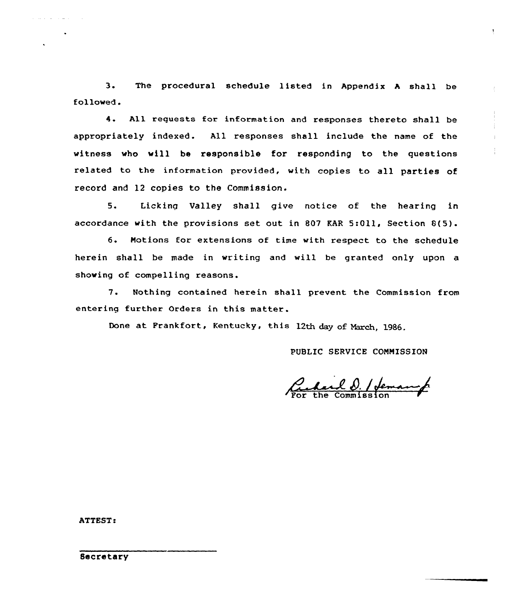3. The procedural schedule listed in Appendix <sup>A</sup> shall be followed.

4. All requests for information and responses thereto shall be appropriately indexed. All responses shall include the name of the witness who will be responsible for responding to the questions related ta the information provided, with copies to all parties of record and 12 copies to the Commission.

5. Licking Valley shall give natice af the hearing in accordance with the provisions set out in 807 RAR 5:011, Section 8(5).

6. Notions for extensions of time with respect to the schedule herein shall be made in writing and will be granted only upon a showing of compelling reasons.

7. Nothing contained herein shall prevent the Commission from entering further Orders in this matter.

Done at Frankfort, Kentucky, this 12th day of March, 1986.

PUBLIC SERVICE CONNISSION

Pulard D. / Jeman p

ATTEST:

Secretary